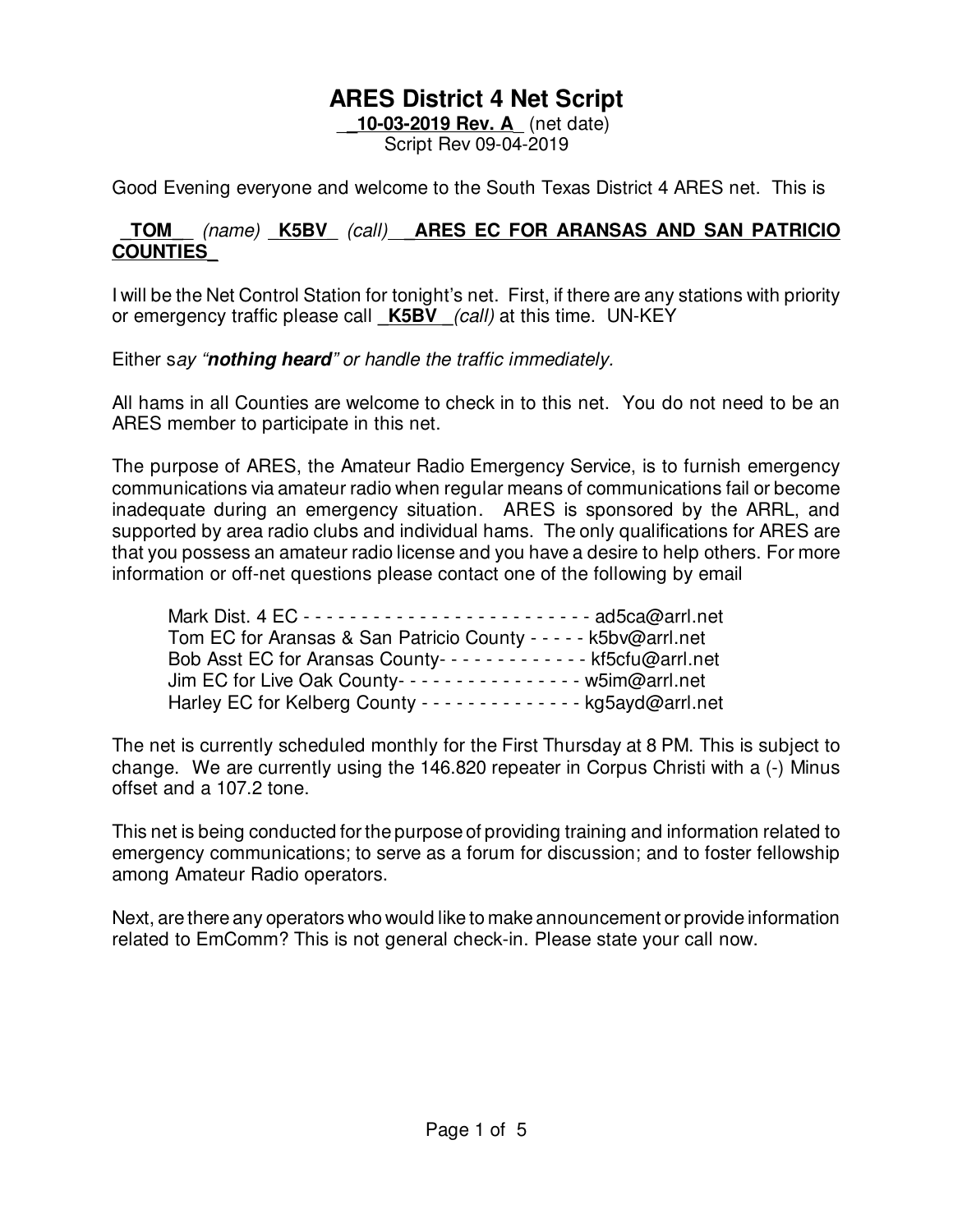### **ARES District 4 Net Script**

\_**\_10-03-2019 Rev. A**\_ (net date) Script Rev 09-04-2019

Good Evening everyone and welcome to the South Texas District 4 ARES net. This is

### **\_TOM\_**\_ (name) \_**K5BV**\_ (call) **\_ARES EC FOR ARANSAS AND SAN PATRICIO COUNTIES\_**

I will be the Net Control Station for tonight's net. First, if there are any stations with priority or emergency traffic please call **\_K5BV \_**(call) at this time. UN-KEY

Either say "**nothing heard**" or handle the traffic immediately.

All hams in all Counties are welcome to check in to this net. You do not need to be an ARES member to participate in this net.

The purpose of ARES, the Amateur Radio Emergency Service, is to furnish emergency communications via amateur radio when regular means of communications fail or become inadequate during an emergency situation. ARES is sponsored by the ARRL, and supported by area radio clubs and individual hams. The only qualifications for ARES are that you possess an amateur radio license and you have a desire to help others. For more information or off-net questions please contact one of the following by email

| Tom EC for Aransas & San Patricio County - - - - - k5bv@arrl.net         |  |
|--------------------------------------------------------------------------|--|
| Bob Asst EC for Aransas County------------- kf5cfu@arrl.net              |  |
| Jim EC for Live Oak County---------------- w5im@arrl.net                 |  |
| Harley EC for Kelberg County - - - - - - - - - - - - - - kg5ayd@arrl.net |  |

The net is currently scheduled monthly for the First Thursday at 8 PM. This is subject to change. We are currently using the 146.820 repeater in Corpus Christi with a (-) Minus offset and a 107.2 tone.

This net is being conducted for the purpose of providing training and information related to emergency communications; to serve as a forum for discussion; and to foster fellowship among Amateur Radio operators.

Next, are there any operators who would like to make announcement or provide information related to EmComm? This is not general check-in. Please state your call now.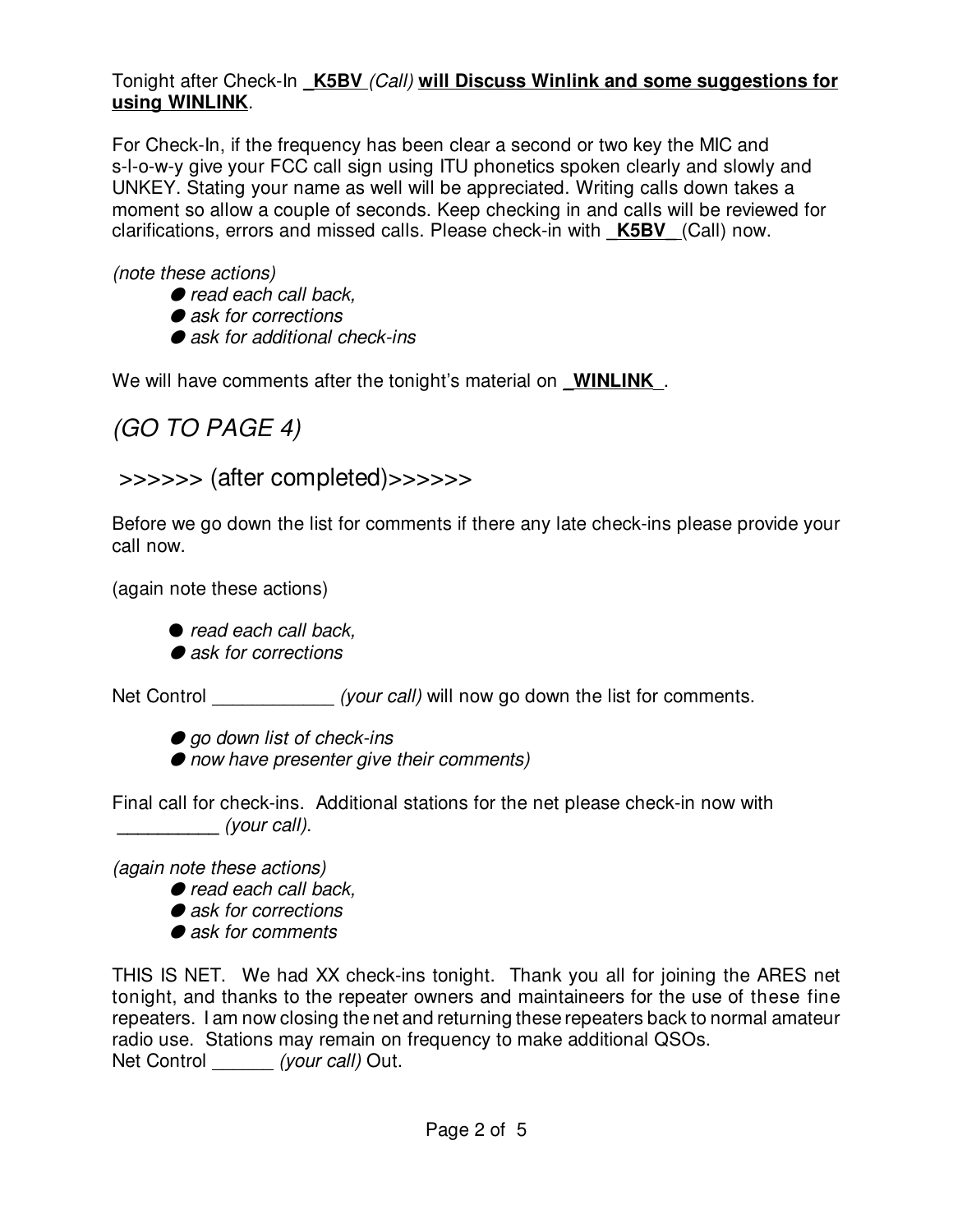### Tonight after Check-In **\_K5BV** (Call) **will Discuss Winlink and some suggestions for using WINLINK**.

For Check-In, if the frequency has been clear a second or two key the MIC and s-l-o-w-y give your FCC call sign using ITU phonetics spoken clearly and slowly and UNKEY. Stating your name as well will be appreciated. Writing calls down takes a moment so allow a couple of seconds. Keep checking in and calls will be reviewed for clarifications, errors and missed calls. Please check-in with **\_K5BV\_** (Call) now.

(note these actions)

- $\bullet$  read each call back,
- $\bullet$  ask for corrections
- $\bullet$  ask for additional check-ins

We will have comments after the tonight's material on **WINLINK**.

# (GO TO PAGE 4)

## >>>>>> (after completed)>>>>>>

Before we go down the list for comments if there any late check-ins please provide your call now.

(again note these actions)

 $\bullet$  read each call back,

 $\bullet$  ask for corrections

Net Control \_\_\_\_\_\_\_\_\_\_\_\_\_\_ (your call) will now go down the list for comments.

- $\bullet$  ao down list of check-ins
- $\bullet$  now have presenter give their comments)

Final call for check-ins. Additional stations for the net please check-in now with **\_\_\_\_\_\_\_\_\_\_** (your call).

(again note these actions)

- $\bullet$  read each call back,
- $\bullet$  ask for corrections
- $\bullet$  ask for comments

THIS IS NET. We had XX check-ins tonight. Thank you all for joining the ARES net tonight, and thanks to the repeater owners and maintaineers for the use of these fine repeaters. I am now closing the net and returning these repeaters back to normal amateur radio use. Stations may remain on frequency to make additional QSOs. Net Control (your call) Out.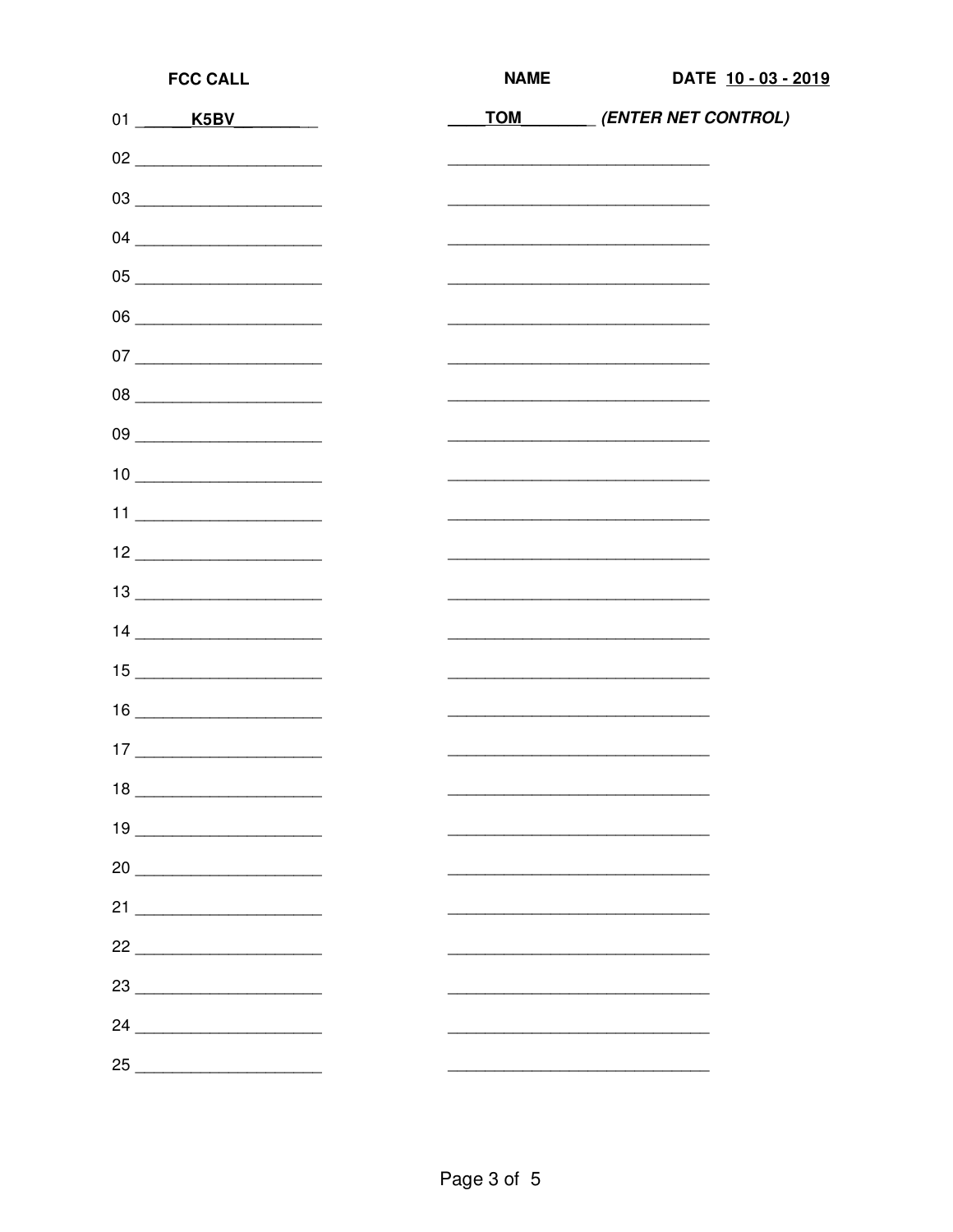| <b>FCC CALL</b>                                                                                                                                                                                                                                                                                                                                                                                                             | <b>NAME</b> |  |                                                                                                                                                                                                                               | DATE 10 - 03 - 2019 |  |
|-----------------------------------------------------------------------------------------------------------------------------------------------------------------------------------------------------------------------------------------------------------------------------------------------------------------------------------------------------------------------------------------------------------------------------|-------------|--|-------------------------------------------------------------------------------------------------------------------------------------------------------------------------------------------------------------------------------|---------------------|--|
| 01 K5BV                                                                                                                                                                                                                                                                                                                                                                                                                     |             |  | TOM (ENTER NET CONTROL)                                                                                                                                                                                                       |                     |  |
| $02 \begin{tabular}{l} \hline \rule{0.2cm}{0.1cm} \rule{0.2cm}{0.1cm} \rule{0.2cm}{0.1cm} \rule{0.2cm}{0.1cm} \rule{0.2cm}{0.1cm} \rule{0.2cm}{0.1cm} \rule{0.2cm}{0.1cm} \rule{0.2cm}{0.1cm} \rule{0.2cm}{0.1cm} \rule{0.2cm}{0.1cm} \rule{0.2cm}{0.1cm} \rule{0.2cm}{0.1cm} \rule{0.2cm}{0.1cm} \rule{0.2cm}{0.1cm} \rule{0.2cm}{0.1cm} \rule{0.2cm}{0.1cm$                                                               |             |  | <u> 2000 - 2000 - 2000 - 2000 - 2000 - 2000 - 2000 - 2000 - 2000 - 2000 - 2000 - 2000 - 2000 - 2000 - 2000 - 200</u>                                                                                                          |                     |  |
|                                                                                                                                                                                                                                                                                                                                                                                                                             |             |  | the control of the control of the control of the control of the control of the control of                                                                                                                                     |                     |  |
|                                                                                                                                                                                                                                                                                                                                                                                                                             |             |  |                                                                                                                                                                                                                               |                     |  |
| $\begin{picture}(150,10) \put(0,0){\vector(1,0){100}} \put(15,0){\vector(1,0){100}} \put(15,0){\vector(1,0){100}} \put(15,0){\vector(1,0){100}} \put(15,0){\vector(1,0){100}} \put(15,0){\vector(1,0){100}} \put(15,0){\vector(1,0){100}} \put(15,0){\vector(1,0){100}} \put(15,0){\vector(1,0){100}} \put(15,0){\vector(1,0){100}} \put(15,0){\vector(1,0){100}}$                                                          |             |  | <u> 1989 - Johann John Stone, mars eta inperiodo eta inperiodo eta inperiodo eta inperiodo eta inperiodo eta inpe</u>                                                                                                         |                     |  |
|                                                                                                                                                                                                                                                                                                                                                                                                                             |             |  |                                                                                                                                                                                                                               |                     |  |
|                                                                                                                                                                                                                                                                                                                                                                                                                             |             |  | the control of the control of the control of the control of the control of the control of the control of the control of the control of the control of the control of the control of the control of the control of the control |                     |  |
| 08                                                                                                                                                                                                                                                                                                                                                                                                                          |             |  | the control of the control of the control of the control of the control of the control of                                                                                                                                     |                     |  |
| 09                                                                                                                                                                                                                                                                                                                                                                                                                          |             |  | <u> 1940 - Paris Amerikaanse konstantinoplering (h. 1905)</u>                                                                                                                                                                 |                     |  |
| $\begin{array}{c} \n 10 \end{array}$                                                                                                                                                                                                                                                                                                                                                                                        |             |  |                                                                                                                                                                                                                               |                     |  |
|                                                                                                                                                                                                                                                                                                                                                                                                                             |             |  |                                                                                                                                                                                                                               |                     |  |
| $12 \begin{tabular}{l} \hline \rule{0.2cm}{0.1cm} \rule{0.2cm}{0.1cm} \rule{0.2cm}{0.1cm} \rule{0.2cm}{0.1cm} \rule{0.2cm}{0.1cm} \rule{0.2cm}{0.1cm} \rule{0.2cm}{0.1cm} \rule{0.2cm}{0.1cm} \rule{0.2cm}{0.1cm} \rule{0.2cm}{0.1cm} \rule{0.2cm}{0.1cm} \rule{0.2cm}{0.1cm} \rule{0.2cm}{0.1cm} \rule{0.2cm}{0.1cm} \rule{0.2cm}{0.1cm} \rule{0.2cm}{0.1cm$                                                               |             |  | the control of the control of the control of the control of the control of the control of                                                                                                                                     |                     |  |
| $\begin{tabular}{c} 13 \end{tabular}$                                                                                                                                                                                                                                                                                                                                                                                       |             |  | the control of the control of the control of the control of the control of the control of                                                                                                                                     |                     |  |
| $\begin{array}{c} \n 14 \end{array}$                                                                                                                                                                                                                                                                                                                                                                                        |             |  | <u> 1989 - Johann John Stone, mars eta industrial eta industrial eta industrial eta industrial eta industrial eta</u>                                                                                                         |                     |  |
| $\begin{array}{c} \n 15 \end{array}$                                                                                                                                                                                                                                                                                                                                                                                        |             |  | <u> 1964 - Paris Amerikaanse konstantinoplering (h. 1905)</u>                                                                                                                                                                 |                     |  |
| $\begin{picture}(20,20) \put(0,0){\dashbox{0.5}(5,0){ }} \put(15,0){\circle{10}} \put(15,0){\circle{10}} \put(15,0){\circle{10}} \put(15,0){\circle{10}} \put(15,0){\circle{10}} \put(15,0){\circle{10}} \put(15,0){\circle{10}} \put(15,0){\circle{10}} \put(15,0){\circle{10}} \put(15,0){\circle{10}} \put(15,0){\circle{10}} \put(15,0){\circle{10}} \put(15,0){\circle{10}} \put(15,0$                                 |             |  |                                                                                                                                                                                                                               |                     |  |
| $\begin{tabular}{ c c c c } \hline & & & \multicolumn{2}{ c }{\quad \quad } & \multicolumn{2}{ c }{\quad \quad } \\ \hline 17 & \multicolumn{2}{ c }{\quad \quad } & \multicolumn{2}{ c }{\quad \quad } \\ \hline \end{tabular}$                                                                                                                                                                                            |             |  |                                                                                                                                                                                                                               |                     |  |
| $18 \underline{\hspace{1cm}}$                                                                                                                                                                                                                                                                                                                                                                                               |             |  |                                                                                                                                                                                                                               |                     |  |
| $19 \underline{\hspace{1cm}11 \qquad \hspace{1cm}11 \qquad \hspace{1cm}12 \qquad \hspace{1cm}13 \qquad \hspace{1cm}14 \qquad \hspace{1cm}15 \qquad \hspace{1cm}15 \qquad \hspace{1cm}17 \qquad \hspace{1cm}18 \qquad \hspace{1cm}19 \qquad \hspace{1cm}11 \qquad \hspace{1cm}15 \qquad \hspace{1cm}12 \qquad \hspace{1cm}14 \qquad \hspace{1cm}15 \qquad \hspace{1cm}15 \qquad \hspace{1cm}16 \qquad \hspace{1cm}17 \qquad$ |             |  |                                                                                                                                                                                                                               |                     |  |
|                                                                                                                                                                                                                                                                                                                                                                                                                             |             |  |                                                                                                                                                                                                                               |                     |  |
|                                                                                                                                                                                                                                                                                                                                                                                                                             |             |  |                                                                                                                                                                                                                               |                     |  |
| $22 \begin{tabular}{@{}c@{}} \quad \quad & \quad \quad & \quad \quad \\ \hline \end{tabular}$                                                                                                                                                                                                                                                                                                                               |             |  |                                                                                                                                                                                                                               |                     |  |
| $23 \underline{\hspace{1.5cm}}$                                                                                                                                                                                                                                                                                                                                                                                             |             |  |                                                                                                                                                                                                                               |                     |  |
| $24 \begin{tabular}{l} \hline \rule{0.2cm}{0.1cm} \rule{0.2cm}{0.1cm} \rule{0.2cm}{0.1cm} \rule{0.2cm}{0.1cm} \rule{0.2cm}{0.1cm} \rule{0.2cm}{0.1cm} \rule{0.2cm}{0.1cm} \rule{0.2cm}{0.1cm} \rule{0.2cm}{0.1cm} \rule{0.2cm}{0.1cm} \rule{0.2cm}{0.1cm} \rule{0.2cm}{0.1cm} \rule{0.2cm}{0.1cm} \rule{0.2cm}{0.1cm} \rule{0.2cm}{0.1cm} \rule{0.2cm}{0.1cm$                                                               |             |  |                                                                                                                                                                                                                               |                     |  |
| 25                                                                                                                                                                                                                                                                                                                                                                                                                          |             |  |                                                                                                                                                                                                                               |                     |  |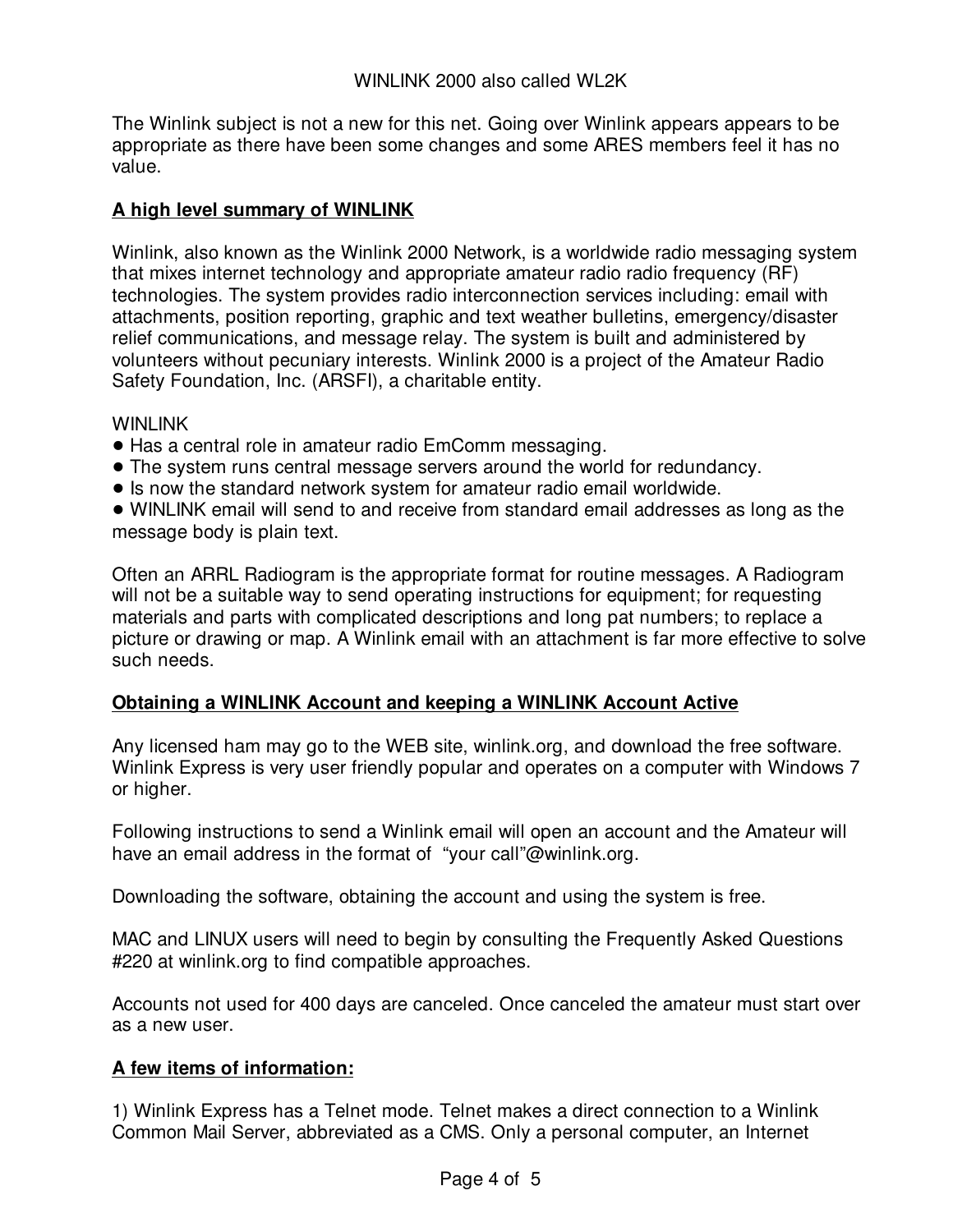The Winlink subject is not a new for this net. Going over Winlink appears appears to be appropriate as there have been some changes and some ARES members feel it has no value.

### **A high level summary of WINLINK**

Winlink, also known as the Winlink 2000 Network, is a worldwide radio messaging system that mixes internet technology and appropriate amateur radio radio frequency (RF) technologies. The system provides radio interconnection services including: email with attachments, position reporting, graphic and text weather bulletins, emergency/disaster relief communications, and message relay. The system is built and administered by volunteers without pecuniary interests. Winlink 2000 is a project of the Amateur Radio Safety Foundation, Inc. (ARSFI), a charitable entity.

#### WINI INK

- ! Has a central role in amateur radio EmComm messaging.
- ! The system runs central message servers around the world for redundancy.
- ! Is now the standard network system for amateur radio email worldwide.

! WINLINK email will send to and receive from standard email addresses as long as the message body is plain text.

Often an ARRL Radiogram is the appropriate format for routine messages. A Radiogram will not be a suitable way to send operating instructions for equipment; for requesting materials and parts with complicated descriptions and long pat numbers; to replace a picture or drawing or map. A Winlink email with an attachment is far more effective to solve such needs.

### **Obtaining a WINLINK Account and keeping a WINLINK Account Active**

Any licensed ham may go to the WEB site, winlink.org, and download the free software. Winlink Express is very user friendly popular and operates on a computer with Windows 7 or higher.

Following instructions to send a Winlink email will open an account and the Amateur will have an email address in the format of "your call"@winlink.org.

Downloading the software, obtaining the account and using the system is free.

MAC and LINUX users will need to begin by consulting the Frequently Asked Questions #220 at winlink.org to find compatible approaches.

Accounts not used for 400 days are canceled. Once canceled the amateur must start over as a new user.

### **A few items of information:**

1) Winlink Express has a Telnet mode. Telnet makes a direct connection to a Winlink Common Mail Server, abbreviated as a CMS. Only a personal computer, an Internet